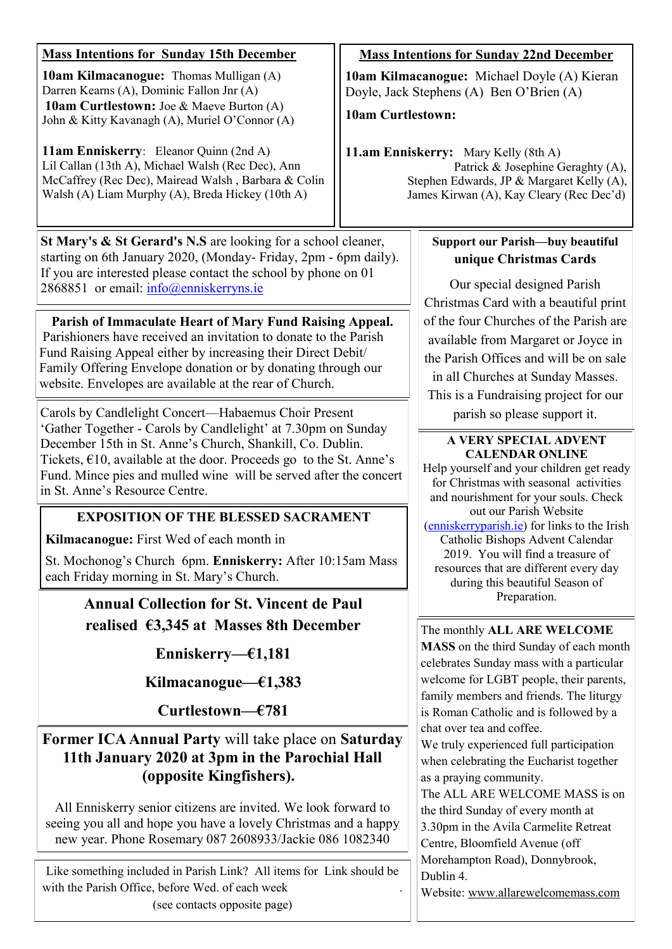| <b>Mass Intentions for Sunday 15th December</b><br><b>10am Kilmacanogue:</b> Thomas Mulligan (A)<br>Darren Kearns (A), Dominic Fallon Jnr (A)<br><b>10am Curtlestown:</b> Joe & Maeve Burton (A)<br>John & Kitty Kavanagh (A), Muriel O'Connor (A)<br>11am Enniskerry: Eleanor Quinn (2nd A)<br>Lil Callan (13th A), Michael Walsh (Rec Dec), Ann<br>McCaffrey (Rec Dec), Mairead Walsh, Barbara & Colin<br>Walsh (A) Liam Murphy (A), Breda Hickey (10th A)                                        | <b>Mass Intentions for Sunday 22nd December</b><br>10am Kilmacanogue: Michael Doyle (A) Kieran<br>Doyle, Jack Stephens (A) Ben O'Brien (A)<br><b>10am Curtlestown:</b><br>11.am Enniskerry: Mary Kelly (8th A)<br>Patrick & Josephine Geraghty (A),<br>Stephen Edwards, JP & Margaret Kelly (A),<br>James Kirwan (A), Kay Cleary (Rec Dec'd) |                                                                                                                                                                                                                                                                                                                                                                                                                                                                                                                                                                                                          |
|-----------------------------------------------------------------------------------------------------------------------------------------------------------------------------------------------------------------------------------------------------------------------------------------------------------------------------------------------------------------------------------------------------------------------------------------------------------------------------------------------------|----------------------------------------------------------------------------------------------------------------------------------------------------------------------------------------------------------------------------------------------------------------------------------------------------------------------------------------------|----------------------------------------------------------------------------------------------------------------------------------------------------------------------------------------------------------------------------------------------------------------------------------------------------------------------------------------------------------------------------------------------------------------------------------------------------------------------------------------------------------------------------------------------------------------------------------------------------------|
| St Mary's & St Gerard's N.S are looking for a school cleaner,<br>starting on 6th January 2020, (Monday-Friday, 2pm - 6pm daily).<br>If you are interested please contact the school by phone on 01<br>2868851 or email: info@enniskerryns.ie                                                                                                                                                                                                                                                        |                                                                                                                                                                                                                                                                                                                                              | <b>Support our Parish-buy beautiful</b><br>unique Christmas Cards<br>Our special designed Parish<br>Christmas Card with a beautiful print                                                                                                                                                                                                                                                                                                                                                                                                                                                                |
| Parish of Immaculate Heart of Mary Fund Raising Appeal.<br>Parishioners have received an invitation to donate to the Parish<br>Fund Raising Appeal either by increasing their Direct Debit/<br>Family Offering Envelope donation or by donating through our<br>website. Envelopes are available at the rear of Church.                                                                                                                                                                              |                                                                                                                                                                                                                                                                                                                                              | of the four Churches of the Parish are<br>available from Margaret or Joyce in<br>the Parish Offices and will be on sale<br>in all Churches at Sunday Masses.<br>This is a Fundraising project for our                                                                                                                                                                                                                                                                                                                                                                                                    |
| Carols by Candlelight Concert—Habaemus Choir Present<br>'Gather Together - Carols by Candlelight' at 7.30pm on Sunday<br>December 15th in St. Anne's Church, Shankill, Co. Dublin.<br>Tickets, $\epsilon$ 10, available at the door. Proceeds go to the St. Anne's<br>Fund. Mince pies and mulled wine will be served after the concert<br>in St. Anne's Resource Centre.<br><b>EXPOSITION OF THE BLESSED SACRAMENT</b>                                                                             |                                                                                                                                                                                                                                                                                                                                              | parish so please support it.<br>A VERY SPECIAL ADVENT<br><b>CALENDAR ONLINE</b><br>Help yourself and your children get ready<br>for Christmas with seasonal activities<br>and nourishment for your souls. Check<br>out our Parish Website<br>(enniskerryparish.ie) for links to the Irish<br>Catholic Bishops Advent Calendar<br>2019. You will find a treasure of<br>resources that are different every day<br>during this beautiful Season of<br>Preparation.                                                                                                                                          |
| Kilmacanogue: First Wed of each month in<br>St. Mochonog's Church 6pm. Enniskerry: After 10:15am Mass<br>each Friday morning in St. Mary's Church.<br><b>Annual Collection for St. Vincent de Paul</b>                                                                                                                                                                                                                                                                                              |                                                                                                                                                                                                                                                                                                                                              |                                                                                                                                                                                                                                                                                                                                                                                                                                                                                                                                                                                                          |
| realised $63,345$ at Masses 8th December                                                                                                                                                                                                                                                                                                                                                                                                                                                            |                                                                                                                                                                                                                                                                                                                                              | The monthly ALL ARE WELCOME                                                                                                                                                                                                                                                                                                                                                                                                                                                                                                                                                                              |
| Enniskerry- $E1,181$                                                                                                                                                                                                                                                                                                                                                                                                                                                                                |                                                                                                                                                                                                                                                                                                                                              | MASS on the third Sunday of each month<br>celebrates Sunday mass with a particular<br>welcome for LGBT people, their parents,<br>family members and friends. The liturgy<br>is Roman Catholic and is followed by a<br>chat over tea and coffee.<br>We truly experienced full participation<br>when celebrating the Eucharist together<br>as a praying community.<br>The ALL ARE WELCOME MASS is on<br>the third Sunday of every month at<br>3.30pm in the Avila Carmelite Retreat<br>Centre, Bloomfield Avenue (off<br>Morehampton Road), Donnybrook,<br>Dublin 4.<br>Website: www.allarewelcomemass.com |
| Kilmacanogue- $€1,383$                                                                                                                                                                                                                                                                                                                                                                                                                                                                              |                                                                                                                                                                                                                                                                                                                                              |                                                                                                                                                                                                                                                                                                                                                                                                                                                                                                                                                                                                          |
| Curtlestown—€781                                                                                                                                                                                                                                                                                                                                                                                                                                                                                    |                                                                                                                                                                                                                                                                                                                                              |                                                                                                                                                                                                                                                                                                                                                                                                                                                                                                                                                                                                          |
| <b>Former ICA Annual Party will take place on Saturday</b><br>11th January 2020 at 3pm in the Parochial Hall<br>(opposite Kingfishers).<br>All Enniskerry senior citizens are invited. We look forward to<br>seeing you all and hope you have a lovely Christmas and a happy<br>new year. Phone Rosemary 087 2608933/Jackie 086 1082340<br>Like something included in Parish Link? All items for Link should be<br>with the Parish Office, before Wed. of each week<br>(see contacts opposite page) |                                                                                                                                                                                                                                                                                                                                              |                                                                                                                                                                                                                                                                                                                                                                                                                                                                                                                                                                                                          |